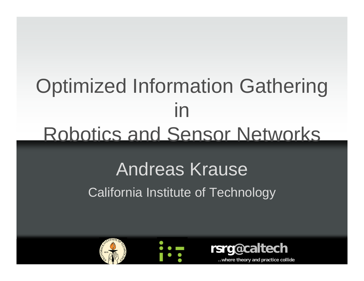## Optimized Information Gathering in Robotics and Sensor Networks

### Andreas Krause California Institute of Technology





**..where theory and practice collide**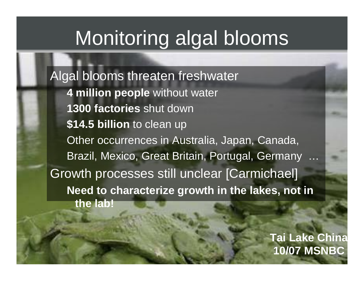## Monitoring algal blooms

Algal blooms threaten freshwater **4 million people** without water **1300 factories** shut down **\$14.5 billion** to clean up Other occurrences in Australia, Japan, Canada, Brazil, Mexico, Great Britain, Portugal, Germany … Growth processes still unclear [Carmichael] **Need to characterize growth in the lakes, not in the lab!**

> 2**10/07 MSNBCTai Lake Chin a**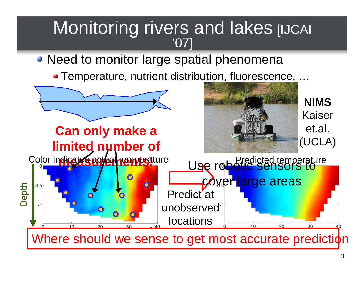# Monitoring rivers and lakes [IJCAI]

#### • Need to monitor large spatial phenomena

● Temperature, nutrient distribution, fluorescence, ...

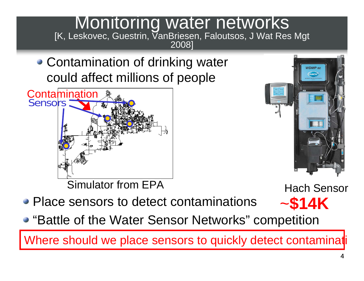• Contamination of drinking water could affect millions of people





~**\$14K**

- Place sensors to detect contaminations
- "Battle of the Water Sensor Networks" competition

Where should we place sensors to quickly detect contamination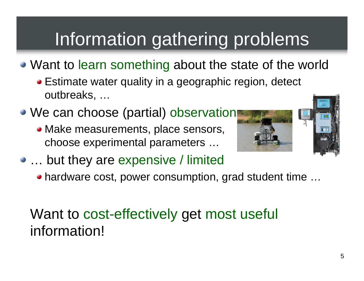## Information gathering problems

- Want to learn something about the state of the world
	- Estimate water quality in a geographic region, detect outbreaks, …
- We can choose (partial) observation
	- Make measurements, place sensors, choose experimental parameters …





- … but they are expensive / limited
	- hardware cost, power consumption, grad student time …

### Want to cost-effectively get most useful information!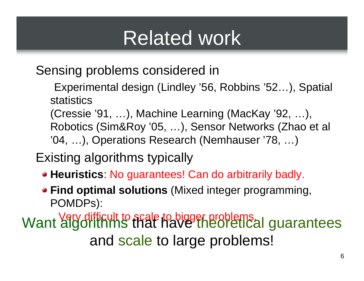## Related work

Sensing problems considered in

- Experimental design (Lindley '56, Robbins '52…), Spatial statistics
- (Cressie '91, …), Machine Learning (MacKay '92, …), Robotics (Sim&Roy '05, …), Sensor Networks (Zhao et al '04, …), Operations Research (Nemhauser '78, …)

### Existing algorithms typically

- **Heuristics**: No guarantees! Can do arbitrarily badly.
- **Find optimal solutions** (Mixed integer programming, POMDPs):

Very difficult to scale to bigger problems. Want algorithms that have theoretical guarantees and scale to large problems!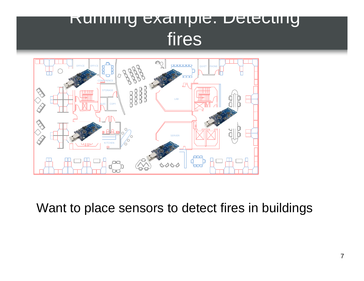### Running example: Detecting fires



Want to place sensors to detect fires in buildings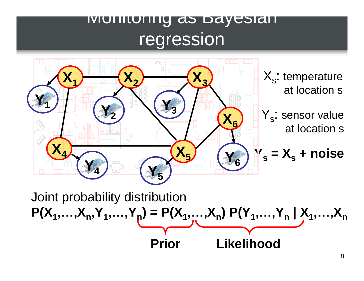### Monitoring as Bayesian regression



Joint probability distribution  $P(X_1,...,X_n,Y_1,...,Y_n) = P(X_1,...,X_n) P(Y_1,...,Y_n | X_1,...,X_n)$ **PriorLikelihood**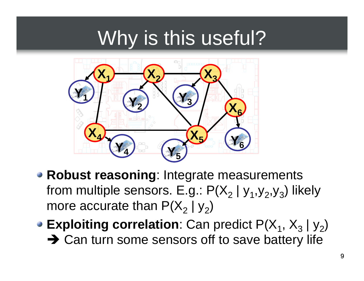## Why is this useful?



- **Robust reasoning**: Integrate measurements from multiple sensors. E.g.:  $P(X_2 | y_1, y_2, y_3)$  likely more accurate than P(X $_2$  | y $_2)$
- **Exploiting correlation**: Can predict  $P(X_1, X_3 | y_2)$ **→ Can turn some sensors off to save battery life**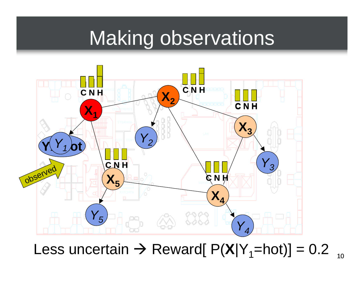### Making observations



### Less uncertain  $\rightarrow$  Reward[ P(**X**|Y<sub>1</sub>=hot)] = 0.2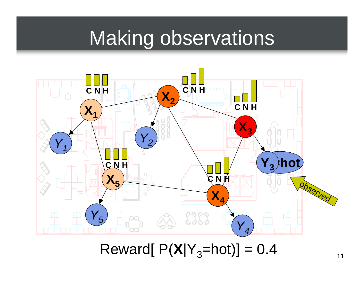### Making observations

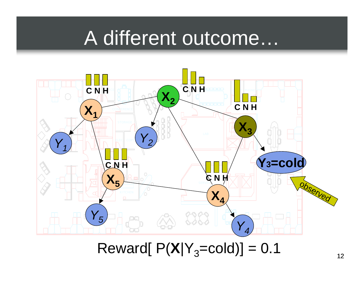### A different outcome…

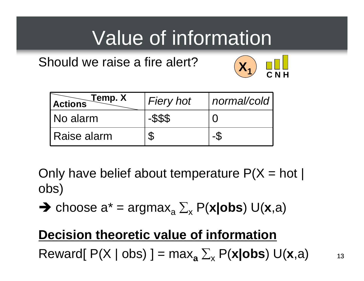## Value of information

#### Should we raise a fire alert?



| Temp. X<br><b>Actions</b> | <b>Fiery hot</b> | Inormal/cold |
|---------------------------|------------------|--------------|
| No alarm                  | -\$\$\$          |              |
| Raise alarm               |                  |              |

Only have belief about temperature  $P(X = hot)$ obs)

 $\rightarrow$  choose a<sup>\*</sup> = argmax<sub>a</sub>  $\Sigma_{\mathsf{x}}$  P(**x**|obs) U(**x**,a)

### **Decision theoretic value of information**  $\mathsf{R}$ eward[ P(X | obs) ] =  $\mathsf{max}_{\mathsf{a}} \Sigma_{\mathsf{x}}$  P(**x|obs**) U(**x**,a)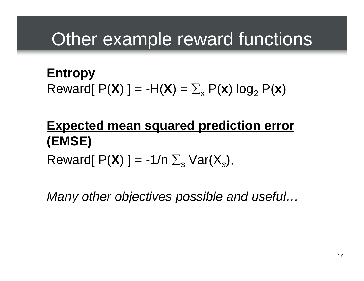### Other example reward functions

**Entropy**   $\mathsf{R} \mathsf{eward}[\; \mathsf{P}(\mathsf{X}) \;] = \mathsf{H}(\mathsf{X}) = \sum_{\mathsf{x}} \mathsf{P}(\mathsf{x}) \; \mathsf{log}_2 \; \mathsf{P}(\mathsf{x})$ 

### **Expected mean squared prediction error (EMSE)**  $\mathsf{Reward}[\; \mathsf{P}(\mathsf{X}) \;] = \text{-1/n} \; \Sigma_{\text{s}} \; \mathsf{Var}(\mathsf{X}_{\text{s}}),$

*Many other objectives possible and useful…*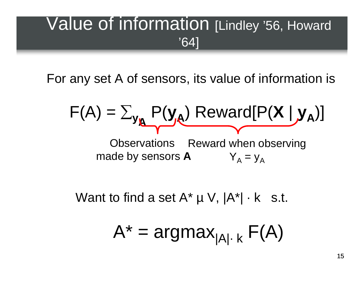### Value of information [Lindley '56, Howard '64]

For any set A of sensors, its value of information is

$$
F(A) = \sum_{y_{\mathbf{A}}} P(y_{\mathbf{A}}) \text{ Reward}[P(X | y_{\mathbf{A}})]
$$
  
Observations: Reward when observing  
made by sensors **A**  $Y_{A} = y_{A}$ 

Want to find a set  $A^* \mu V$ ,  $|A^*| \cdot k$  s.t.

$$
A^* = \text{argmax}_{|A| \cdot k} F(A)
$$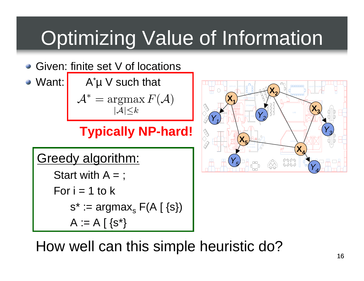## Optimizing Value of Information

- Given: finite set V of locations
- Want:  $\mathsf{A}^*\mathsf{\mu}$  V such that

 $\mathcal{A}^* = \argmax F(\mathcal{A})$  $|\mathcal{A}| \leq k$ 

### **Typically NP-hard!**

### Greedy algorithm:

Start with  $A =$ ;

For 
$$
i = 1
$$
 to k  
\n $s^* := argmax_s F(A \mid \{s\})$   
\n $A := A \mid \{s^*\}$ 



How well can this simple heuristic do?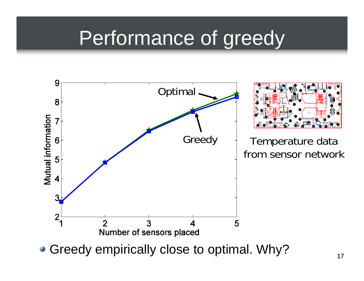## Performance of greedy

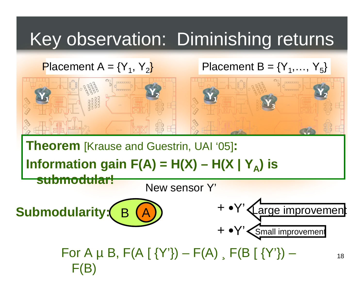### Key observation: Diminishing returns

#### Placement  $A = {Y_1, Y_2}$

#### Placement  $B = \{Y_1, \ldots, Y_5\}$



**Theorem** [Krause and Guestrin, UAI '05]**:**

 $\mathbf{y}$   $\mathbf{y}$   $\mathbf{y}$  and  $\mathbf{y}$  and  $\mathbf{y}$  and  $\mathbf{y}$  and  $\mathbf{y}$  and  $\mathbf{y}$  and  $\mathbf{y}$  and  $\mathbf{y}$  and  $\mathbf{y}$  and  $\mathbf{y}$  and  $\mathbf{y}$  and  $\mathbf{y}$  and  $\mathbf{y}$  and  $\mathbf{y}$  and  $\mathbf{y}$  and  $\mathbf{y}$ **Information gain F(A) = H(X) – H(X | Y<sub>A</sub>) is submodular!**

New sensor Y'

 $(A)$  +  $\cdot$  Y **Submodularity:**



For A  $\mu$  B, F(A [ {Y'}) – F(A), F(B [ {Y'}) –  $\mathbf{F}(\mathbf{B})$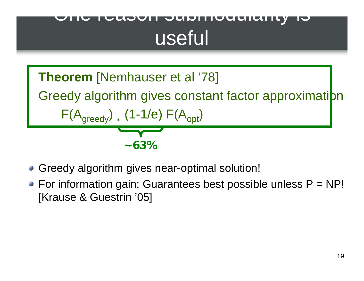### One reason submodularity is useful



- Greedy algorithm gives near-optimal solution!
- $\bullet$  For information gain: Guarantees best possible unless  $P = NP!$ [Krause & Guestrin '05]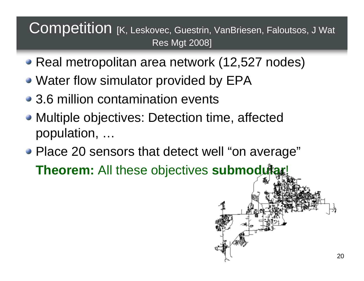#### Competition [K, Leskovec, Guestrin, VanBriesen, Faloutsos, J Wat Res Mgt 2008]

- Real metropolitan area network (12,527 nodes)
- Water flow simulator provided by EPA
- 3.6 million contamination events
- Multiple objectives: Detection time, affected population, …
- Place 20 sensors that detect well "on average"

**Theorem:** All these objectives **submodular**!

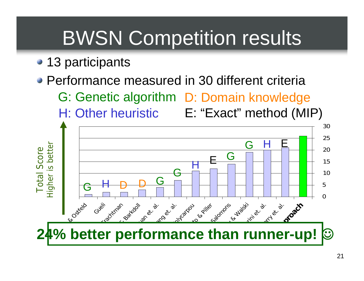## BWSN Competition results

- 13 participants
- Performance measured in 30 different criteria
	- G: Genetic algorithm D: Domain knowledge
	-

H: Other heuristic E: "Exact" method (MIP)

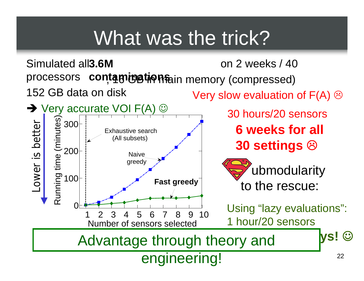## What was the trick?

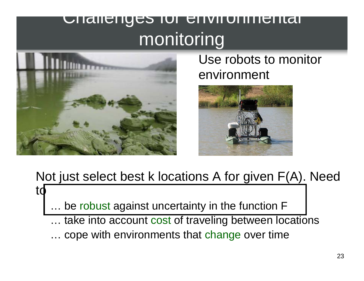### Challenges for environmental monitoring



to

Use robots to monitor environment



### Not just select best k locations A for given F(A). Need

be robust against uncertainty in the function F

- ... take into account cost of traveling between locations
- … cope with environments that change over time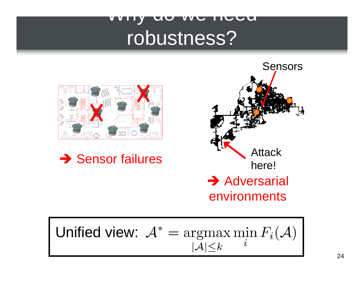### Why do we need robustness?







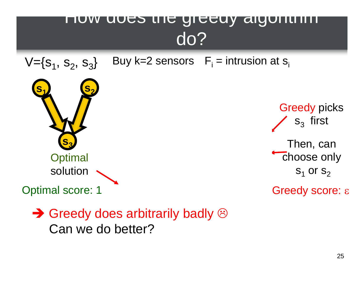### How does the greedy algorithm do?



 $\rightarrow$  Greedy does arbitrarily badly  $\odot$ Can we do better?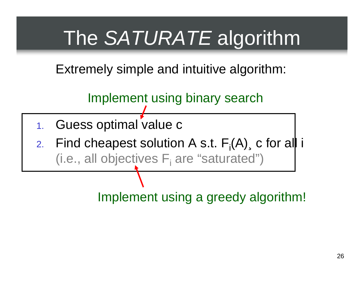## The *SATURATE* algorithm

Extremely simple and intuitive algorithm:

Implement using binary search

- 1. Guess optimal value c
- 2. Find cheapest solution A s.t.  $F_i(A)$ , c for all i  $(i.e., all objectives F<sub>i</sub> are "saturated")$

Implement using a greedy algorithm!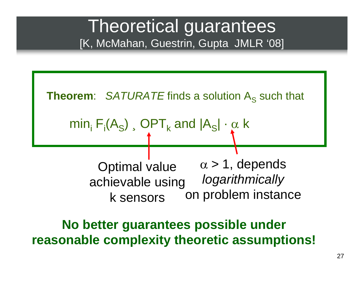### Theoretical guarantees [K, McMahan, Guestrin, Gupta JMLR '08]



**reasonable complexity theoretic assumptions!**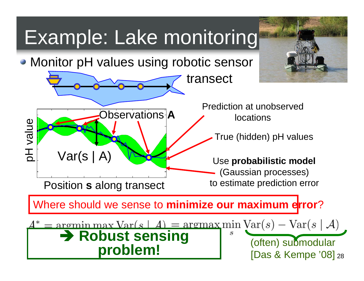## Example: Lake monitoring

• Monitor pH values using robotic sensor

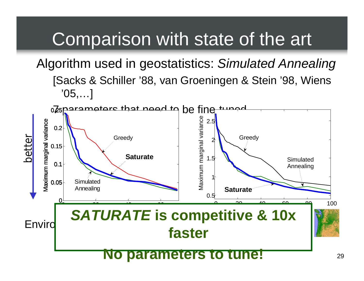### Comparison with state of the art

Algorithm used in geostatistics: *Simulated Annealing* [Sacks & Schiller '88, van Groeningen & Stein '98, Wiens '05,…]

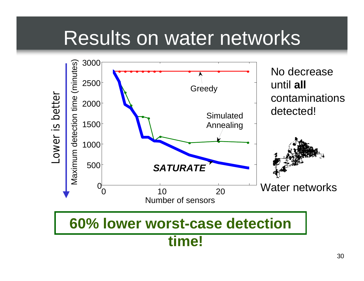## Results on water networks

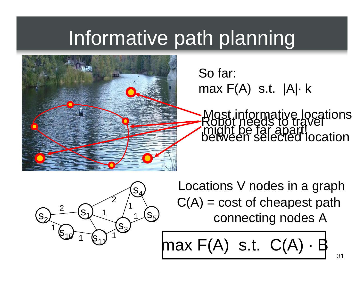## Informative path planning



So far: max F(A) s.t. |A|· k

Most informative locations<br>Robot needs to travel Röböt needs to travel<br>might be far apart!<br>between selected location

s  $\mathrm{S}_1$ 21 - $\mathsf{S}_4$  $\mathrm{S}_5$  $\mathbf{S}_{3}$ 2111 $\mathsf{S}_{12}$  $\S_{11}$ 1112

Locations V nodes in a graph  $C(A) = \text{cost of cheapest path}$ connecting nodes A

$$
\text{max } F(A) \text{ s.t. } C(A) \cdot B
$$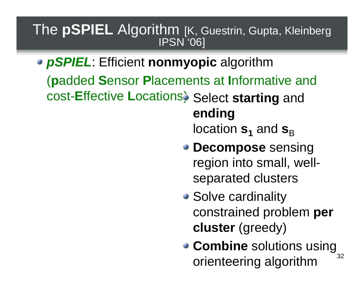## The **pSPIEL** Algorithm [K, Guestrin, Gupta, Kleinberg

*pSPIEL*: Efficient **nonmyopic** algorithm ( **p**added **S**ensor **P**lacements at **I**nformative and cost-**E**ffective **<sup>L</sup>**ocations) Select **starting** and **ending** 

location  $\mathbf{s}_\mathbf{1}$  and  $\mathbf{s}_\mathbf{B}$ 

- **Decompose** sensing region into small, wellseparated clusters
- Solve cardinality constrained problem **per cluster** (greedy)
- 32**Combine** solutions using orienteering algorithm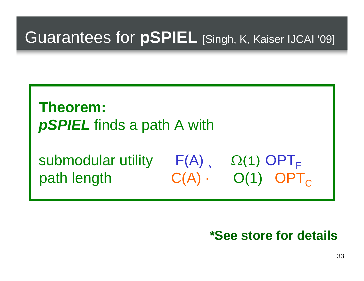### **Theorem:**  *pSPIEL* finds a path A with

submodular utility  $F(A)$  ,  $\Omega(1)$  OPT<sub>F</sub> path length  $C(A) \cdot O(1)$  OPT<sub>C</sub>

#### **\*See store for details**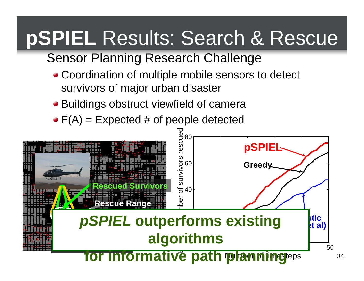## **pSPIEL** Results: Search & Rescue

### Sensor Planning Research Challenge

- Coordination of multiple mobile sensors to detect survivors of major urban disaster
- Buildings obstruct viewfield of camera
- $\bullet$  F(A) = Expected # of people detected



34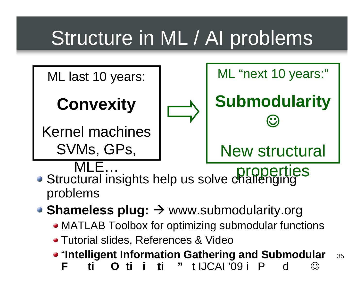## Structure in ML / AI problems



- Structural insights help us solve challenging problems
- **Shameless plug: →** www.submodularity.org
	- MATLAB Toolbox for optimizing submodular functions
	- Tutorial slides, References & Video
	- "**Intelligent Information Gathering and Submodular F ti Oti iTI 111011100**  $\curvearrowright$

35